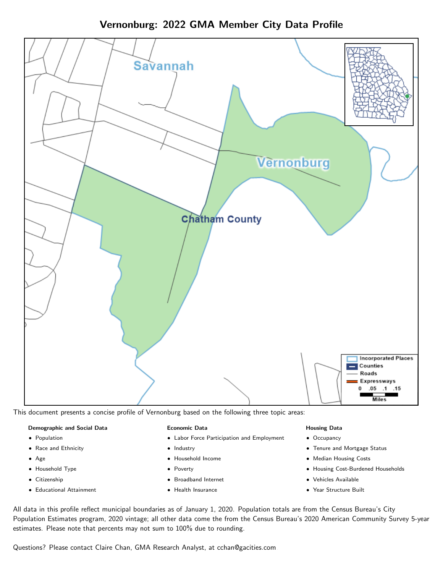Vernonburg: 2022 GMA Member City Data Profile



This document presents a concise profile of Vernonburg based on the following three topic areas:

## Demographic and Social Data

- **•** Population
- Race and Ethnicity
- Age
- Household Type
- **Citizenship**
- Educational Attainment

## Economic Data

- Labor Force Participation and Employment
- Industry
- Household Income
- Poverty
- Broadband Internet
- Health Insurance

## Housing Data

- Occupancy
- Tenure and Mortgage Status
- Median Housing Costs
- Housing Cost-Burdened Households
- Vehicles Available
- Year Structure Built

All data in this profile reflect municipal boundaries as of January 1, 2020. Population totals are from the Census Bureau's City Population Estimates program, 2020 vintage; all other data come the from the Census Bureau's 2020 American Community Survey 5-year estimates. Please note that percents may not sum to 100% due to rounding.

Questions? Please contact Claire Chan, GMA Research Analyst, at [cchan@gacities.com.](mailto:cchan@gacities.com)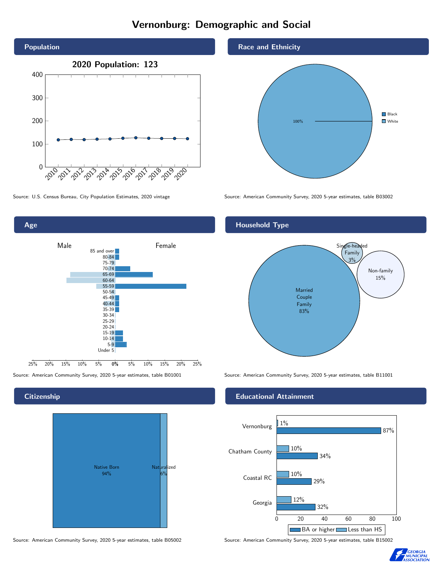# Vernonburg: Demographic and Social





## **Citizenship**



Source: American Community Survey, 2020 5-year estimates, table B05002 Source: American Community Survey, 2020 5-year estimates, table B15002

#### Race and Ethnicity



Source: U.S. Census Bureau, City Population Estimates, 2020 vintage Source: American Community Survey, 2020 5-year estimates, table B03002

## Household Type



Source: American Community Survey, 2020 5-year estimates, table B01001 Source: American Community Survey, 2020 5-year estimates, table B11001

## Educational Attainment



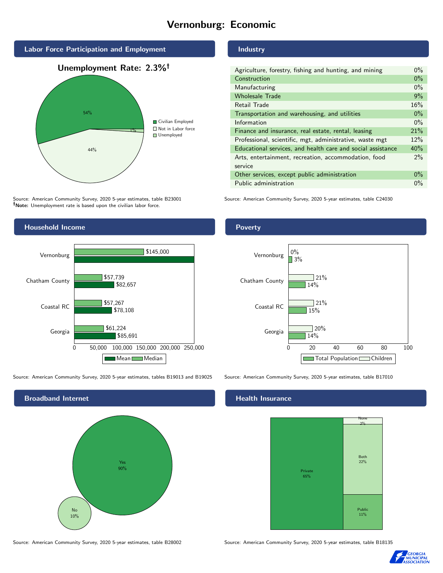# Vernonburg: Economic



Source: American Community Survey, 2020 5-year estimates, table B23001 Note: Unemployment rate is based upon the civilian labor force.

## Household Income 0 50,000 100,000 150,000 200,000 250,000 Georgia Coastal RC Chatham County Vernonburg \$85,691 \$78,108 \$82,657 \$61,224 \$57,267 \$57,739 \$145,000 Mean Median

Source: American Community Survey, 2020 5-year estimates, tables B19013 and B19025 Source: American Community Survey, 2020 5-year estimates, table B17010



Source: American Community Survey, 2020 5-year estimates, table B28002 Source: American Community Survey, 2020 5-year estimates, table B18135

## Industry

| Agriculture, forestry, fishing and hunting, and mining      | $0\%$ |
|-------------------------------------------------------------|-------|
| Construction                                                | $0\%$ |
| Manufacturing                                               | $0\%$ |
| <b>Wholesale Trade</b>                                      | 9%    |
| Retail Trade                                                | 16%   |
| Transportation and warehousing, and utilities               | $0\%$ |
| Information                                                 | $0\%$ |
| Finance and insurance, real estate, rental, leasing         | 21%   |
| Professional, scientific, mgt, administrative, waste mgt    | 12%   |
| Educational services, and health care and social assistance | 40%   |
| Arts, entertainment, recreation, accommodation, food        | 2%    |
| service                                                     |       |
| Other services, except public administration                | $0\%$ |
| Public administration                                       | $0\%$ |
|                                                             |       |

Source: American Community Survey, 2020 5-year estimates, table C24030

## Poverty



#### Health Insurance